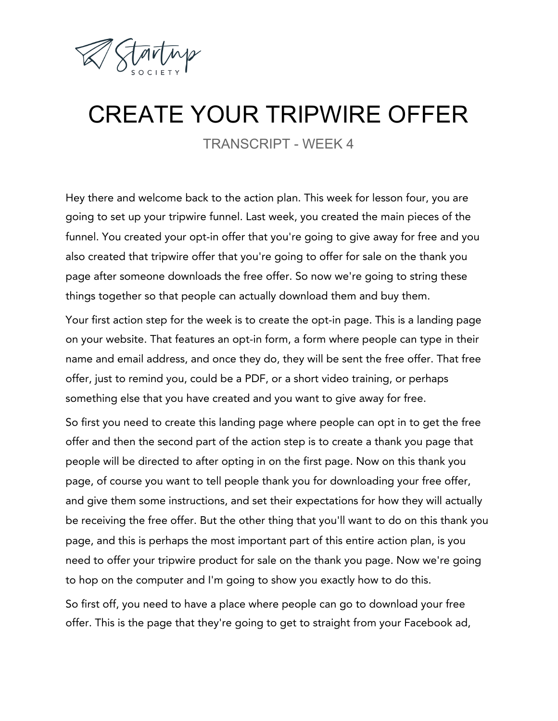

## CREATE YOUR TRIPWIRE OFFER

TRANSCRIPT - WEEK 4

Hey there and welcome back to the action plan. This week for lesson four, you are going to set up your tripwire funnel. Last week, you created the main pieces of the funnel. You created your opt-in offer that you're going to give away for free and you also created that tripwire offer that you're going to offer for sale on the thank you page after someone downloads the free offer. So now we're going to string these things together so that people can actually download them and buy them.

Your first action step for the week is to create the opt-in page. This is a landing page on your website. That features an opt-in form, a form where people can type in their name and email address, and once they do, they will be sent the free offer. That free offer, just to remind you, could be a PDF, or a short video training, or perhaps something else that you have created and you want to give away for free.

So first you need to create this landing page where people can opt in to get the free offer and then the second part of the action step is to create a thank you page that people will be directed to after opting in on the first page. Now on this thank you page, of course you want to tell people thank you for downloading your free offer, and give them some instructions, and set their expectations for how they will actually be receiving the free offer. But the other thing that you'll want to do on this thank you page, and this is perhaps the most important part of this entire action plan, is you need to offer your tripwire product for sale on the thank you page. Now we're going to hop on the computer and I'm going to show you exactly how to do this. So first off, you need to have a place where people can go to download your free offer. This is the page that they're going to get to straight from your Facebook ad,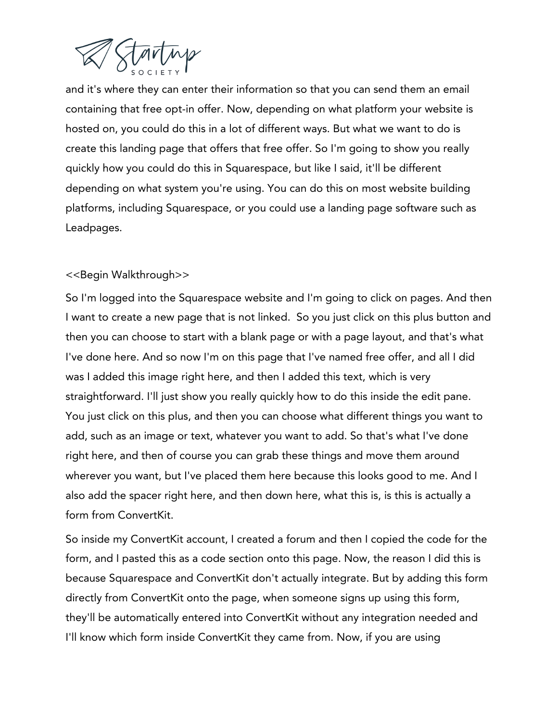

and it's where they can enter their information so that you can send them an email containing that free opt-in offer. Now, depending on what platform your website is hosted on, you could do this in a lot of different ways. But what we want to do is create this landing page that offers that free offer. So I'm going to show you really quickly how you could do this in Squarespace, but like I said, it'll be different depending on what system you're using. You can do this on most website building platforms, including Squarespace, or you could use a landing page software such as Leadpages.

## <<Begin Walkthrough>>

So I'm logged into the Squarespace website and I'm going to click on pages. And then I want to create a new page that is not linked. So you just click on this plus button and then you can choose to start with a blank page or with a page layout, and that's what I've done here. And so now I'm on this page that I've named free offer, and all I did was I added this image right here, and then I added this text, which is very straightforward. I'll just show you really quickly how to do this inside the edit pane. You just click on this plus, and then you can choose what different things you want to add, such as an image or text, whatever you want to add. So that's what I've done right here, and then of course you can grab these things and move them around wherever you want, but I've placed them here because this looks good to me. And I also add the spacer right here, and then down here, what this is, is this is actually a form from ConvertKit.

So inside my ConvertKit account, I created a forum and then I copied the code for the form, and I pasted this as a code section onto this page. Now, the reason I did this is because Squarespace and ConvertKit don't actually integrate. But by adding this form directly from ConvertKit onto the page, when someone signs up using this form, they'll be automatically entered into ConvertKit without any integration needed and I'll know which form inside ConvertKit they came from. Now, if you are using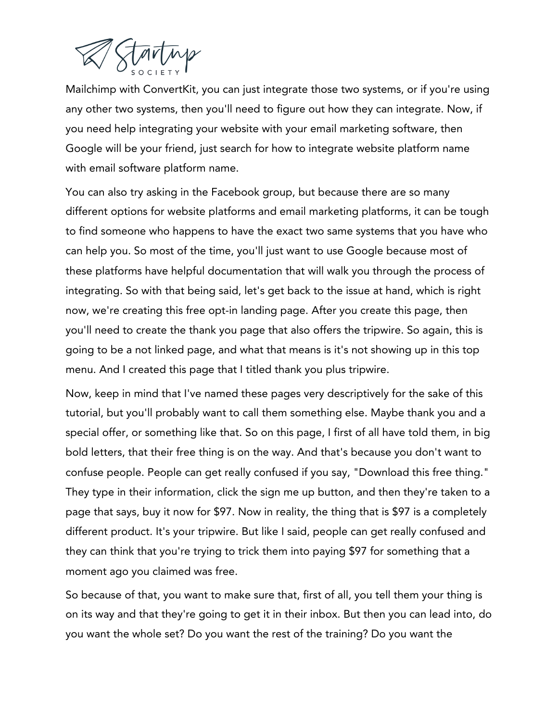

Mailchimp with ConvertKit, you can just integrate those two systems, or if you're using any other two systems, then you'll need to figure out how they can integrate. Now, if you need help integrating your website with your email marketing software, then Google will be your friend, just search for how to integrate website platform name with email software platform name.

You can also try asking in the Facebook group, but because there are so many different options for website platforms and email marketing platforms, it can be tough to find someone who happens to have the exact two same systems that you have who can help you. So most of the time, you'll just want to use Google because most of these platforms have helpful documentation that will walk you through the process of integrating. So with that being said, let's get back to the issue at hand, which is right now, we're creating this free opt-in landing page. After you create this page, then you'll need to create the thank you page that also offers the tripwire. So again, this is going to be a not linked page, and what that means is it's not showing up in this top menu. And I created this page that I titled thank you plus tripwire.

Now, keep in mind that I've named these pages very descriptively for the sake of this tutorial, but you'll probably want to call them something else. Maybe thank you and a special offer, or something like that. So on this page, I first of all have told them, in big bold letters, that their free thing is on the way. And that's because you don't want to confuse people. People can get really confused if you say, "Download this free thing." They type in their information, click the sign me up button, and then they're taken to a page that says, buy it now for \$97. Now in reality, the thing that is \$97 is a completely different product. It's your tripwire. But like I said, people can get really confused and they can think that you're trying to trick them into paying \$97 for something that a moment ago you claimed was free.

So because of that, you want to make sure that, first of all, you tell them your thing is on its way and that they're going to get it in their inbox. But then you can lead into, do you want the whole set? Do you want the rest of the training? Do you want the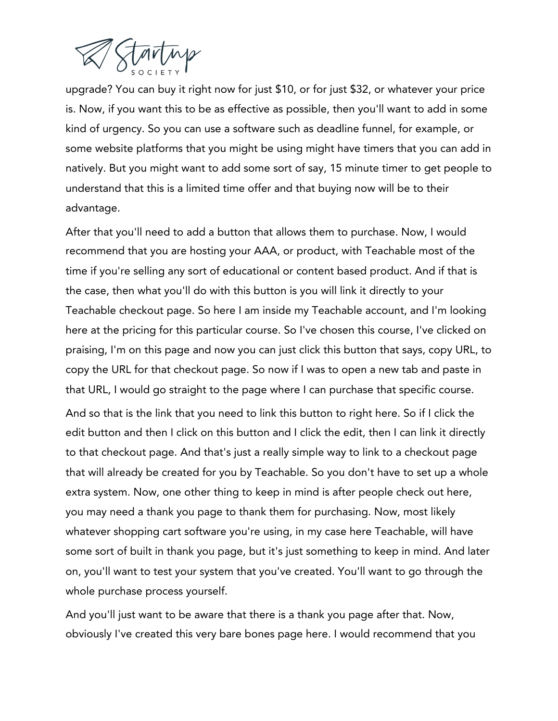

upgrade? You can buy it right now for just \$10, or for just \$32, or whatever your price is. Now, if you want this to be as effective as possible, then you'll want to add in some kind of urgency. So you can use a software such as deadline funnel, for example, or some website platforms that you might be using might have timers that you can add in natively. But you might want to add some sort of say, 15 minute timer to get people to understand that this is a limited time offer and that buying now will be to their advantage.

After that you'll need to add a button that allows them to purchase. Now, I would recommend that you are hosting your AAA, or product, with Teachable most of the time if you're selling any sort of educational or content based product. And if that is the case, then what you'll do with this button is you will link it directly to your Teachable checkout page. So here I am inside my Teachable account, and I'm looking here at the pricing for this particular course. So I've chosen this course, I've clicked on praising, I'm on this page and now you can just click this button that says, copy URL, to copy the URL for that checkout page. So now if I was to open a new tab and paste in that URL, I would go straight to the page where I can purchase that specific course.

And so that is the link that you need to link this button to right here. So if I click the edit button and then I click on this button and I click the edit, then I can link it directly to that checkout page. And that's just a really simple way to link to a checkout page that will already be created for you by Teachable. So you don't have to set up a whole extra system. Now, one other thing to keep in mind is after people check out here, you may need a thank you page to thank them for purchasing. Now, most likely whatever shopping cart software you're using, in my case here Teachable, will have some sort of built in thank you page, but it's just something to keep in mind. And later on, you'll want to test your system that you've created. You'll want to go through the whole purchase process yourself.

And you'll just want to be aware that there is a thank you page after that. Now, obviously I've created this very bare bones page here. I would recommend that you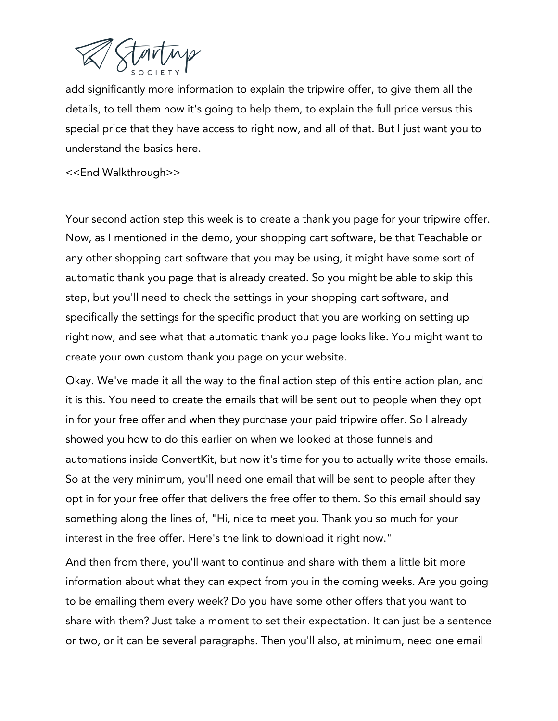

add significantly more information to explain the tripwire offer, to give them all the details, to tell them how it's going to help them, to explain the full price versus this special price that they have access to right now, and all of that. But I just want you to understand the basics here.

<<End Walkthrough>>

Your second action step this week is to create a thank you page for your tripwire offer. Now, as I mentioned in the demo, your shopping cart software, be that Teachable or any other shopping cart software that you may be using, it might have some sort of automatic thank you page that is already created. So you might be able to skip this step, but you'll need to check the settings in your shopping cart software, and specifically the settings for the specific product that you are working on setting up right now, and see what that automatic thank you page looks like. You might want to create your own custom thank you page on your website.

Okay. We've made it all the way to the final action step of this entire action plan, and it is this. You need to create the emails that will be sent out to people when they opt in for your free offer and when they purchase your paid tripwire offer. So I already showed you how to do this earlier on when we looked at those funnels and automations inside ConvertKit, but now it's time for you to actually write those emails. So at the very minimum, you'll need one email that will be sent to people after they opt in for your free offer that delivers the free offer to them. So this email should say something along the lines of, "Hi, nice to meet you. Thank you so much for your interest in the free offer. Here's the link to download it right now."

And then from there, you'll want to continue and share with them a little bit more information about what they can expect from you in the coming weeks. Are you going to be emailing them every week? Do you have some other offers that you want to share with them? Just take a moment to set their expectation. It can just be a sentence or two, or it can be several paragraphs. Then you'll also, at minimum, need one email